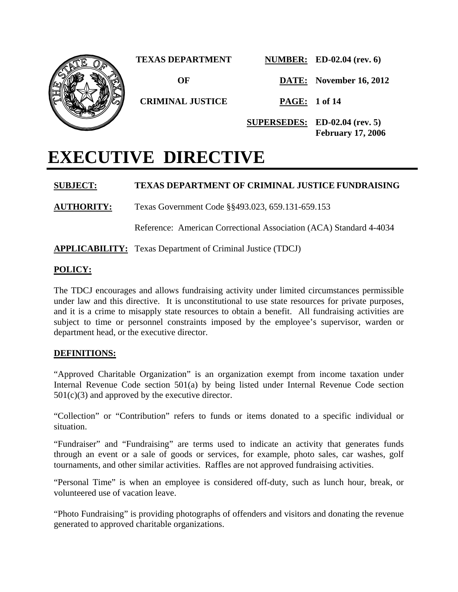

# **EXECUTIVE DIRECTIVE**

### **SUBJECT: TEXAS DEPARTMENT OF CRIMINAL JUSTICE FUNDRAISING**

**AUTHORITY:** Texas Government Code §§493.023, 659.131-659.153

Reference: American Correctional Association (ACA) Standard 4-4034

**APPLICABILITY:** Texas Department of Criminal Justice (TDCJ)

### **POLICY:**

The TDCJ encourages and allows fundraising activity under limited circumstances permissible under law and this directive. It is unconstitutional to use state resources for private purposes, and it is a crime to misapply state resources to obtain a benefit. All fundraising activities are subject to time or personnel constraints imposed by the employee's supervisor, warden or department head, or the executive director.

### **DEFINITIONS:**

"Approved Charitable Organization" is an organization exempt from income taxation under Internal Revenue Code section 501(a) by being listed under Internal Revenue Code section  $501(c)(3)$  and approved by the executive director.

"Collection" or "Contribution" refers to funds or items donated to a specific individual or situation.

"Fundraiser" and "Fundraising" are terms used to indicate an activity that generates funds through an event or a sale of goods or services, for example, photo sales, car washes, golf tournaments, and other similar activities. Raffles are not approved fundraising activities.

"Personal Time" is when an employee is considered off-duty, such as lunch hour, break, or volunteered use of vacation leave.

"Photo Fundraising" is providing photographs of offenders and visitors and donating the revenue generated to approved charitable organizations.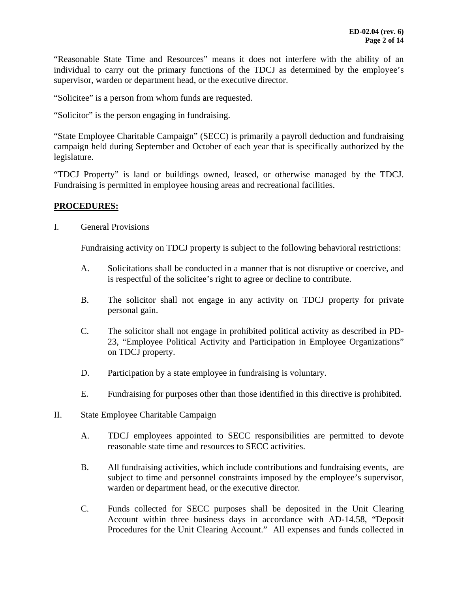"Reasonable State Time and Resources" means it does not interfere with the ability of an individual to carry out the primary functions of the TDCJ as determined by the employee's supervisor, warden or department head, or the executive director.

"Solicitee" is a person from whom funds are requested.

"Solicitor" is the person engaging in fundraising.

"State Employee Charitable Campaign" (SECC) is primarily a payroll deduction and fundraising campaign held during September and October of each year that is specifically authorized by the legislature.

"TDCJ Property" is land or buildings owned, leased, or otherwise managed by the TDCJ. Fundraising is permitted in employee housing areas and recreational facilities.

### **PROCEDURES:**

I. General Provisions

Fundraising activity on TDCJ property is subject to the following behavioral restrictions:

- A. Solicitations shall be conducted in a manner that is not disruptive or coercive, and is respectful of the solicitee's right to agree or decline to contribute.
- B. The solicitor shall not engage in any activity on TDCJ property for private personal gain.
- C. The solicitor shall not engage in prohibited political activity as described in PD-23, "Employee Political Activity and Participation in Employee Organizations" on TDCJ property.
- D. Participation by a state employee in fundraising is voluntary.
- E. Fundraising for purposes other than those identified in this directive is prohibited.
- II. State Employee Charitable Campaign
	- A. TDCJ employees appointed to SECC responsibilities are permitted to devote reasonable state time and resources to SECC activities.
	- B. All fundraising activities, which include contributions and fundraising events, are subject to time and personnel constraints imposed by the employee's supervisor, warden or department head, or the executive director.
	- C. Funds collected for SECC purposes shall be deposited in the Unit Clearing Account within three business days in accordance with AD-14.58, "Deposit Procedures for the Unit Clearing Account." All expenses and funds collected in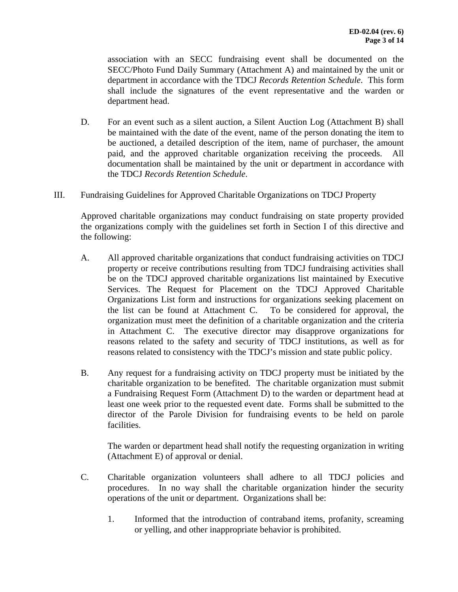association with an SECC fundraising event shall be documented on the SECC/Photo Fund Daily Summary (Attachment A) and maintained by the unit or department in accordance with the TDCJ *Records Retention Schedule*. This form shall include the signatures of the event representative and the warden or department head.

- D. For an event such as a silent auction, a Silent Auction Log (Attachment B) shall be maintained with the date of the event, name of the person donating the item to be auctioned, a detailed description of the item, name of purchaser, the amount paid, and the approved charitable organization receiving the proceeds. All documentation shall be maintained by the unit or department in accordance with the TDCJ *Records Retention Schedule*.
- III. Fundraising Guidelines for Approved Charitable Organizations on TDCJ Property

Approved charitable organizations may conduct fundraising on state property provided the organizations comply with the guidelines set forth in Section I of this directive and the following:

- A. All approved charitable organizations that conduct fundraising activities on TDCJ property or receive contributions resulting from TDCJ fundraising activities shall be on the TDCJ approved charitable organizations list maintained by Executive Services. The Request for Placement on the TDCJ Approved Charitable Organizations List form and instructions for organizations seeking placement on the list can be found at Attachment C. To be considered for approval, the organization must meet the definition of a charitable organization and the criteria in Attachment C. The executive director may disapprove organizations for reasons related to the safety and security of TDCJ institutions, as well as for reasons related to consistency with the TDCJ's mission and state public policy.
- B. Any request for a fundraising activity on TDCJ property must be initiated by the charitable organization to be benefited. The charitable organization must submit a Fundraising Request Form (Attachment D) to the warden or department head at least one week prior to the requested event date. Forms shall be submitted to the director of the Parole Division for fundraising events to be held on parole facilities.

 The warden or department head shall notify the requesting organization in writing (Attachment E) of approval or denial.

- C. Charitable organization volunteers shall adhere to all TDCJ policies and procedures. In no way shall the charitable organization hinder the security operations of the unit or department. Organizations shall be:
	- 1. Informed that the introduction of contraband items, profanity, screaming or yelling, and other inappropriate behavior is prohibited.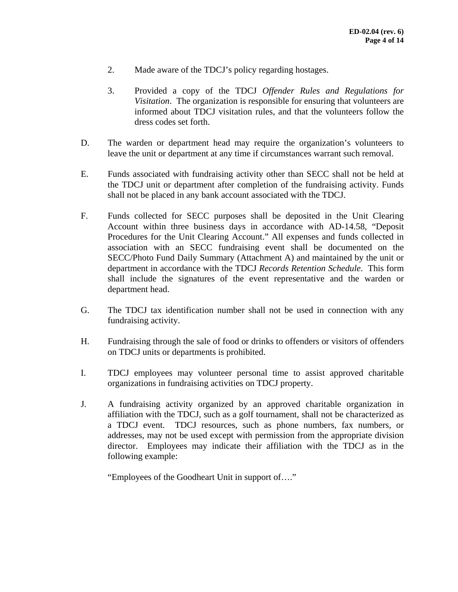- 2. Made aware of the TDCJ's policy regarding hostages.
- 3. Provided a copy of the TDCJ *Offender Rules and Regulations for Visitation*. The organization is responsible for ensuring that volunteers are informed about TDCJ visitation rules, and that the volunteers follow the dress codes set forth.
- D. The warden or department head may require the organization's volunteers to leave the unit or department at any time if circumstances warrant such removal.
- E. Funds associated with fundraising activity other than SECC shall not be held at the TDCJ unit or department after completion of the fundraising activity. Funds shall not be placed in any bank account associated with the TDCJ.
- F. Funds collected for SECC purposes shall be deposited in the Unit Clearing Account within three business days in accordance with AD-14.58, "Deposit Procedures for the Unit Clearing Account." All expenses and funds collected in association with an SECC fundraising event shall be documented on the SECC/Photo Fund Daily Summary (Attachment A) and maintained by the unit or department in accordance with the TDCJ *Records Retention Schedule*. This form shall include the signatures of the event representative and the warden or department head.
- G. The TDCJ tax identification number shall not be used in connection with any fundraising activity.
- H. Fundraising through the sale of food or drinks to offenders or visitors of offenders on TDCJ units or departments is prohibited.
- I. TDCJ employees may volunteer personal time to assist approved charitable organizations in fundraising activities on TDCJ property.
- J. A fundraising activity organized by an approved charitable organization in affiliation with the TDCJ, such as a golf tournament, shall not be characterized as a TDCJ event. TDCJ resources, such as phone numbers, fax numbers, or addresses, may not be used except with permission from the appropriate division director. Employees may indicate their affiliation with the TDCJ as in the following example:

"Employees of the Goodheart Unit in support of…."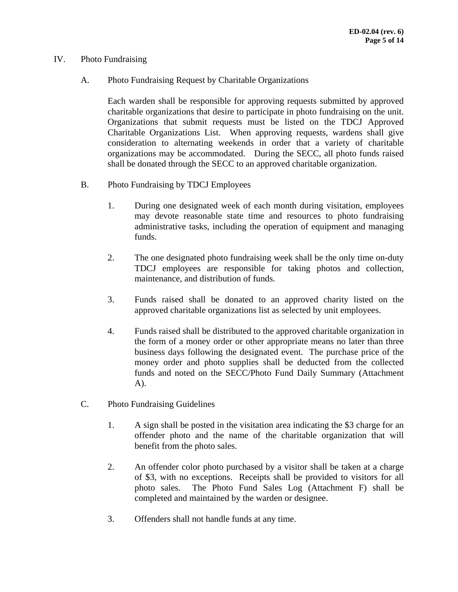### IV. Photo Fundraising

A. Photo Fundraising Request by Charitable Organizations

Each warden shall be responsible for approving requests submitted by approved charitable organizations that desire to participate in photo fundraising on the unit. Organizations that submit requests must be listed on the TDCJ Approved Charitable Organizations List. When approving requests, wardens shall give consideration to alternating weekends in order that a variety of charitable organizations may be accommodated. During the SECC, all photo funds raised shall be donated through the SECC to an approved charitable organization.

- B. Photo Fundraising by TDCJ Employees
	- 1. During one designated week of each month during visitation, employees may devote reasonable state time and resources to photo fundraising administrative tasks, including the operation of equipment and managing funds.
	- 2. The one designated photo fundraising week shall be the only time on-duty TDCJ employees are responsible for taking photos and collection, maintenance, and distribution of funds.
	- 3. Funds raised shall be donated to an approved charity listed on the approved charitable organizations list as selected by unit employees.
	- 4. Funds raised shall be distributed to the approved charitable organization in the form of a money order or other appropriate means no later than three business days following the designated event. The purchase price of the money order and photo supplies shall be deducted from the collected funds and noted on the SECC/Photo Fund Daily Summary (Attachment A).
- C. Photo Fundraising Guidelines
	- 1. A sign shall be posted in the visitation area indicating the \$3 charge for an offender photo and the name of the charitable organization that will benefit from the photo sales.
	- 2. An offender color photo purchased by a visitor shall be taken at a charge of \$3, with no exceptions. Receipts shall be provided to visitors for all photo sales. The Photo Fund Sales Log (Attachment F) shall be completed and maintained by the warden or designee.
	- 3. Offenders shall not handle funds at any time.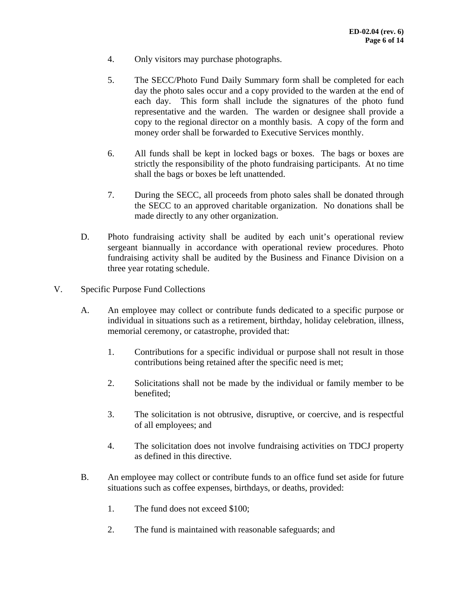- 4. Only visitors may purchase photographs.
- 5. The SECC/Photo Fund Daily Summary form shall be completed for each day the photo sales occur and a copy provided to the warden at the end of each day. This form shall include the signatures of the photo fund representative and the warden. The warden or designee shall provide a copy to the regional director on a monthly basis. A copy of the form and money order shall be forwarded to Executive Services monthly.
- 6. All funds shall be kept in locked bags or boxes. The bags or boxes are strictly the responsibility of the photo fundraising participants. At no time shall the bags or boxes be left unattended.
- 7. During the SECC, all proceeds from photo sales shall be donated through the SECC to an approved charitable organization. No donations shall be made directly to any other organization.
- D. Photo fundraising activity shall be audited by each unit's operational review sergeant biannually in accordance with operational review procedures. Photo fundraising activity shall be audited by the Business and Finance Division on a three year rotating schedule.
- V. Specific Purpose Fund Collections
	- A. An employee may collect or contribute funds dedicated to a specific purpose or individual in situations such as a retirement, birthday, holiday celebration, illness, memorial ceremony, or catastrophe, provided that:
		- 1. Contributions for a specific individual or purpose shall not result in those contributions being retained after the specific need is met;
		- 2. Solicitations shall not be made by the individual or family member to be benefited;
		- 3. The solicitation is not obtrusive, disruptive, or coercive, and is respectful of all employees; and
		- 4. The solicitation does not involve fundraising activities on TDCJ property as defined in this directive.
	- B. An employee may collect or contribute funds to an office fund set aside for future situations such as coffee expenses, birthdays, or deaths, provided:
		- 1. The fund does not exceed \$100;
		- 2. The fund is maintained with reasonable safeguards; and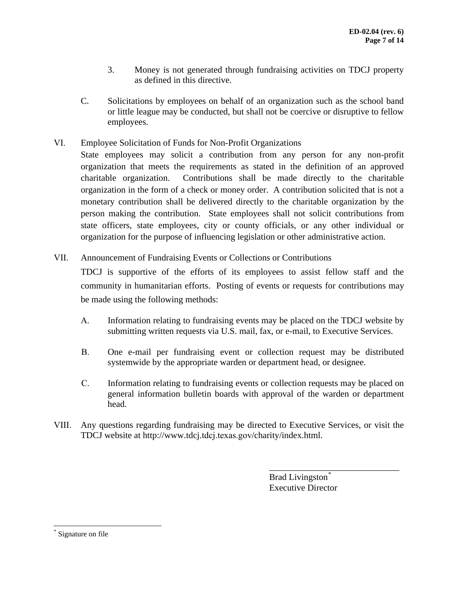- 3. Money is not generated through fundraising activities on TDCJ property as defined in this directive.
- C. Solicitations by employees on behalf of an organization such as the school band or little league may be conducted, but shall not be coercive or disruptive to fellow employees.
- VI. Employee Solicitation of Funds for Non-Profit Organizations
	- State employees may solicit a contribution from any person for any non-profit organization that meets the requirements as stated in the definition of an approved charitable organization. Contributions shall be made directly to the charitable organization in the form of a check or money order. A contribution solicited that is not a monetary contribution shall be delivered directly to the charitable organization by the person making the contribution. State employees shall not solicit contributions from state officers, state employees, city or county officials, or any other individual or organization for the purpose of influencing legislation or other administrative action.
- VII. Announcement of Fundraising Events or Collections or Contributions

TDCJ is supportive of the efforts of its employees to assist fellow staff and the community in humanitarian efforts. Posting of events or requests for contributions may be made using the following methods:

- A. Information relating to fundraising events may be placed on the TDCJ website by submitting written requests via U.S. mail, fax, or e-mail, to Executive Services.
- B. One e-mail per fundraising event or collection request may be distributed systemwide by the appropriate warden or department head, or designee.
- C. Information relating to fundraising events or collection requests may be placed on general information bulletin boards with approval of the warden or department head.
- VIII. Any questions regarding fundraising may be directed to Executive Services, or visit the TDCJ website at http://www.tdcj.tdcj.texas.gov[/charity/index.html.](http://www.tdcj.texas.gov/charity/index.html)

Brad Livingston<sup>[\\*](#page-6-0)</sup> Executive Director

\_\_\_\_\_\_\_\_\_\_\_\_\_\_\_\_\_\_\_\_\_\_\_\_\_\_\_\_\_

<span id="page-6-0"></span>Signature on file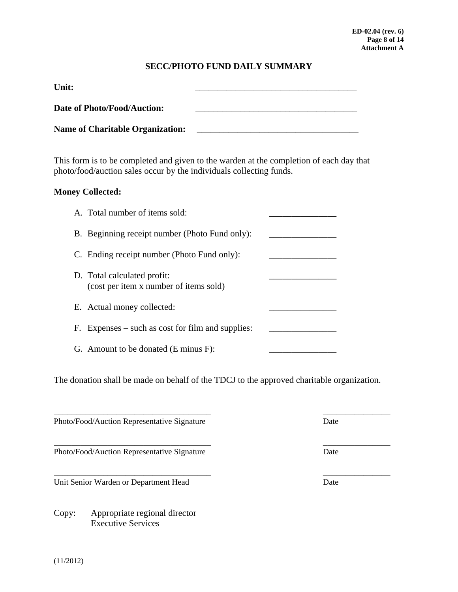### **SECC/PHOTO FUND DAILY SUMMARY**

| Unit:                                   |  |
|-----------------------------------------|--|
| Date of Photo/Food/Auction:             |  |
| <b>Name of Charitable Organization:</b> |  |

This form is to be completed and given to the warden at the completion of each day that photo/food/auction sales occur by the individuals collecting funds.

### **Money Collected:**

| A. Total number of items sold:                                        |  |
|-----------------------------------------------------------------------|--|
| B. Beginning receipt number (Photo Fund only):                        |  |
| C. Ending receipt number (Photo Fund only):                           |  |
| D. Total calculated profit:<br>(cost per item x number of items sold) |  |
| E. Actual money collected:                                            |  |
| F. Expenses $-$ such as cost for film and supplies:                   |  |
| G. Amount to be donated (E minus F):                                  |  |

The donation shall be made on behalf of the TDCJ to the approved charitable organization.

\_\_\_\_\_\_\_\_\_\_\_\_\_\_\_\_\_\_\_\_\_\_\_\_\_\_\_\_\_\_\_\_\_\_\_ \_\_\_\_\_\_\_\_\_\_\_\_\_\_\_

\_\_\_\_\_\_\_\_\_\_\_\_\_\_\_\_\_\_\_\_\_\_\_\_\_\_\_\_\_\_\_\_\_\_\_ \_\_\_\_\_\_\_\_\_\_\_\_\_\_\_

Photo/Food/Auction Representative Signature Date Date

Photo/Food/Auction Representative Signature Date

Unit Senior Warden or Department Head Date

Copy: Appropriate regional director Executive Services

 $\frac{1}{2}$  ,  $\frac{1}{2}$  ,  $\frac{1}{2}$  ,  $\frac{1}{2}$  ,  $\frac{1}{2}$  ,  $\frac{1}{2}$  ,  $\frac{1}{2}$  ,  $\frac{1}{2}$  ,  $\frac{1}{2}$  ,  $\frac{1}{2}$  ,  $\frac{1}{2}$  ,  $\frac{1}{2}$  ,  $\frac{1}{2}$  ,  $\frac{1}{2}$  ,  $\frac{1}{2}$  ,  $\frac{1}{2}$  ,  $\frac{1}{2}$  ,  $\frac{1}{2}$  ,  $\frac{1$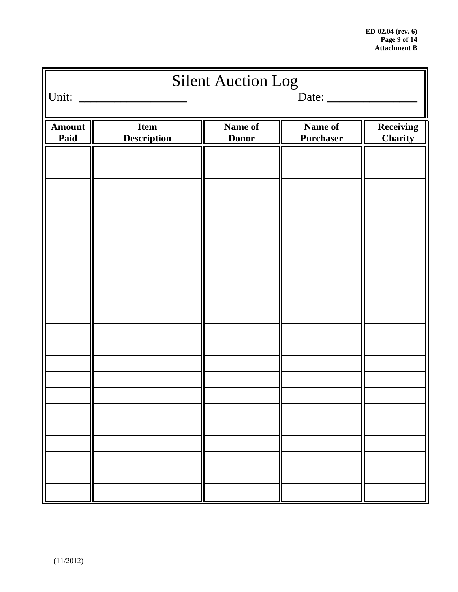| <b>Silent Auction Log</b><br>Unit:<br>Date: |                                   |                         |                             |                      |  |
|---------------------------------------------|-----------------------------------|-------------------------|-----------------------------|----------------------|--|
|                                             |                                   |                         |                             |                      |  |
| Amount<br>Paid                              | <b>Item</b><br><b>Description</b> | Name of<br><b>Donor</b> | Name of<br><b>Purchaser</b> | Receiving<br>Charity |  |
|                                             |                                   |                         |                             |                      |  |
|                                             |                                   |                         |                             |                      |  |
|                                             |                                   |                         |                             |                      |  |
|                                             |                                   |                         |                             |                      |  |
|                                             |                                   |                         |                             |                      |  |
|                                             |                                   |                         |                             |                      |  |
|                                             |                                   |                         |                             |                      |  |
|                                             |                                   |                         |                             |                      |  |
|                                             |                                   |                         |                             |                      |  |
|                                             |                                   |                         |                             |                      |  |
|                                             |                                   |                         |                             |                      |  |
|                                             |                                   |                         |                             |                      |  |
|                                             |                                   |                         |                             |                      |  |
|                                             |                                   |                         |                             |                      |  |
|                                             |                                   |                         |                             |                      |  |
|                                             |                                   |                         |                             |                      |  |
|                                             |                                   |                         |                             |                      |  |
|                                             |                                   |                         |                             |                      |  |
|                                             |                                   |                         |                             |                      |  |
|                                             |                                   |                         |                             |                      |  |
|                                             |                                   |                         |                             |                      |  |
|                                             |                                   |                         |                             |                      |  |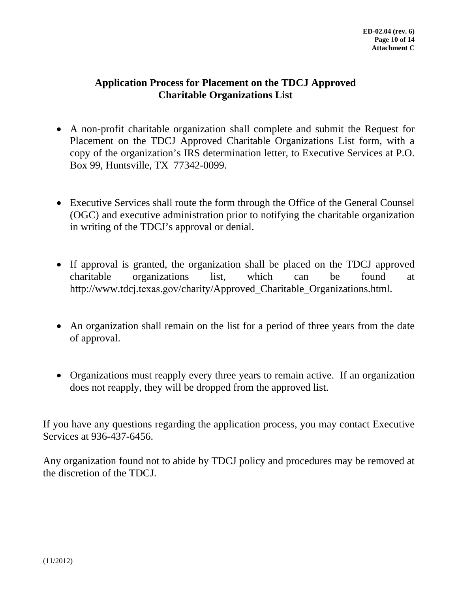### **Application Process for Placement on the TDCJ Approved Charitable Organizations List**

- A non-profit charitable organization shall complete and submit the Request for Placement on the TDCJ Approved Charitable Organizations List form, with a copy of the organization's IRS determination letter, to Executive Services at P.O. Box 99, Huntsville, TX 77342-0099.
- Executive Services shall route the form through the Office of the General Counsel (OGC) and executive administration prior to notifying the charitable organization in writing of the TDCJ's approval or denial.
- If approval is granted, the organization shall be placed on the TDCJ approved charitable organizations list, which can be found at http://www.tdcj.texas.gov[/charity/Approved\\_Charitable\\_Organizations.html.](http://www.tdcj.texas.gov/charity/Approved_Charitable_Organizations.html.%E2%80%A2An)
- [An or](http://www.tdcj.texas.gov/charity/Approved_Charitable_Organizations.html.%E2%80%A2An)ganization shall remain on the list for a period of three years from the date of approval.
- Organizations must reapply every three years to remain active. If an organization does not reapply, they will be dropped from the approved list.

If you have any questions regarding the application process, you may contact Executive Services at 936-437-6456.

Any organization found not to abide by TDCJ policy and procedures may be removed at the discretion of the TDCJ.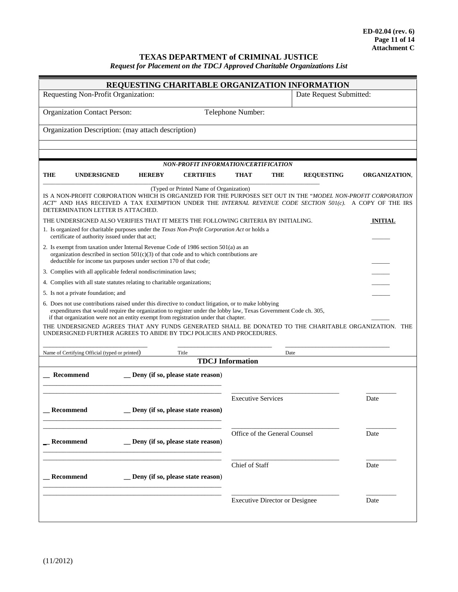### **TEXAS DEPARTMENT of CRIMINAL JUSTICE**

*Request for Placement on the TDCJ Approved Charitable Organizations List* 

| REQUESTING CHARITABLE ORGANIZATION INFORMATION                                                                                                                                                                                                                                                                                                                                                                                                                                                   |                                                                                                                                                                                                                                                          |                         |                      |  |  |
|--------------------------------------------------------------------------------------------------------------------------------------------------------------------------------------------------------------------------------------------------------------------------------------------------------------------------------------------------------------------------------------------------------------------------------------------------------------------------------------------------|----------------------------------------------------------------------------------------------------------------------------------------------------------------------------------------------------------------------------------------------------------|-------------------------|----------------------|--|--|
| Requesting Non-Profit Organization:                                                                                                                                                                                                                                                                                                                                                                                                                                                              |                                                                                                                                                                                                                                                          | Date Request Submitted: |                      |  |  |
| <b>Organization Contact Person:</b>                                                                                                                                                                                                                                                                                                                                                                                                                                                              | Telephone Number:                                                                                                                                                                                                                                        |                         |                      |  |  |
| Organization Description: (may attach description)                                                                                                                                                                                                                                                                                                                                                                                                                                               |                                                                                                                                                                                                                                                          |                         |                      |  |  |
|                                                                                                                                                                                                                                                                                                                                                                                                                                                                                                  |                                                                                                                                                                                                                                                          |                         |                      |  |  |
|                                                                                                                                                                                                                                                                                                                                                                                                                                                                                                  | NON-PROFIT INFORMATION/CERTIFICATION                                                                                                                                                                                                                     |                         |                      |  |  |
| THE<br><b>UNDERSIGNED</b><br><b>HEREBY</b><br><b>CERTIFIES</b>                                                                                                                                                                                                                                                                                                                                                                                                                                   | THAT<br><b>THE</b>                                                                                                                                                                                                                                       | <b>REQUESTING</b>       | <b>ORGANIZATION,</b> |  |  |
|                                                                                                                                                                                                                                                                                                                                                                                                                                                                                                  |                                                                                                                                                                                                                                                          |                         |                      |  |  |
| (Typed or Printed Name of Organization)<br>IS A NON-PROFIT CORPORATION WHICH IS ORGANIZED FOR THE PURPOSES SET OUT IN THE "MODEL NON-PROFIT CORPORATION<br>ACT" AND HAS RECEIVED A TAX EXEMPTION UNDER THE INTERNAL REVENUE CODE SECTION 501(c). A COPY OF THE IRS<br>DETERMINATION LETTER IS ATTACHED.                                                                                                                                                                                          |                                                                                                                                                                                                                                                          |                         |                      |  |  |
| THE UNDERSIGNED ALSO VERIFIES THAT IT MEETS THE FOLLOWING CRITERIA BY INITIALING.                                                                                                                                                                                                                                                                                                                                                                                                                |                                                                                                                                                                                                                                                          |                         | <b>INITIAL</b>       |  |  |
| 1. Is organized for charitable purposes under the Texas Non-Profit Corporation Act or holds a<br>certificate of authority issued under that act;                                                                                                                                                                                                                                                                                                                                                 |                                                                                                                                                                                                                                                          |                         |                      |  |  |
|                                                                                                                                                                                                                                                                                                                                                                                                                                                                                                  | 2. Is exempt from taxation under Internal Revenue Code of 1986 section $501(a)$ as an<br>organization described in section $501(c)(3)$ of that code and to which contributions are<br>deductible for income tax purposes under section 170 of that code; |                         |                      |  |  |
| 3. Complies with all applicable federal nondiscrimination laws;                                                                                                                                                                                                                                                                                                                                                                                                                                  |                                                                                                                                                                                                                                                          |                         |                      |  |  |
| 4. Complies with all state statutes relating to charitable organizations;                                                                                                                                                                                                                                                                                                                                                                                                                        |                                                                                                                                                                                                                                                          |                         |                      |  |  |
| 5. Is not a private foundation; and                                                                                                                                                                                                                                                                                                                                                                                                                                                              |                                                                                                                                                                                                                                                          |                         |                      |  |  |
| 6. Does not use contributions raised under this directive to conduct litigation, or to make lobbying<br>expenditures that would require the organization to register under the lobby law, Texas Government Code ch. 305,<br>if that organization were not an entity exempt from registration under that chapter.<br>THE UNDERSIGNED AGREES THAT ANY FUNDS GENERATED SHALL BE DONATED TO THE CHARITABLE ORGANIZATION. THE<br>UNDERSIGNED FURTHER AGREES TO ABIDE BY TDCJ POLICIES AND PROCEDURES. |                                                                                                                                                                                                                                                          |                         |                      |  |  |
| Name of Certifying Official (typed or printed)<br>Title                                                                                                                                                                                                                                                                                                                                                                                                                                          | Date                                                                                                                                                                                                                                                     |                         |                      |  |  |
|                                                                                                                                                                                                                                                                                                                                                                                                                                                                                                  | <b>TDCJ</b> Information                                                                                                                                                                                                                                  |                         |                      |  |  |
| _ Deny (if so, please state reason)<br><b>Recommend</b>                                                                                                                                                                                                                                                                                                                                                                                                                                          |                                                                                                                                                                                                                                                          |                         |                      |  |  |
|                                                                                                                                                                                                                                                                                                                                                                                                                                                                                                  | <b>Executive Services</b>                                                                                                                                                                                                                                |                         | Date                 |  |  |
| Deny (if so, please state reason)<br><b>Recommend</b>                                                                                                                                                                                                                                                                                                                                                                                                                                            |                                                                                                                                                                                                                                                          |                         |                      |  |  |
| <b>Recommend</b><br>_ Deny (if so, please state reason)                                                                                                                                                                                                                                                                                                                                                                                                                                          | Office of the General Counsel                                                                                                                                                                                                                            |                         | Date                 |  |  |
| <b>Recommend</b><br>_ Deny (if so, please state reason)                                                                                                                                                                                                                                                                                                                                                                                                                                          | Chief of Staff                                                                                                                                                                                                                                           |                         | Date                 |  |  |
|                                                                                                                                                                                                                                                                                                                                                                                                                                                                                                  | <b>Executive Director or Designee</b>                                                                                                                                                                                                                    |                         | Date                 |  |  |
|                                                                                                                                                                                                                                                                                                                                                                                                                                                                                                  |                                                                                                                                                                                                                                                          |                         |                      |  |  |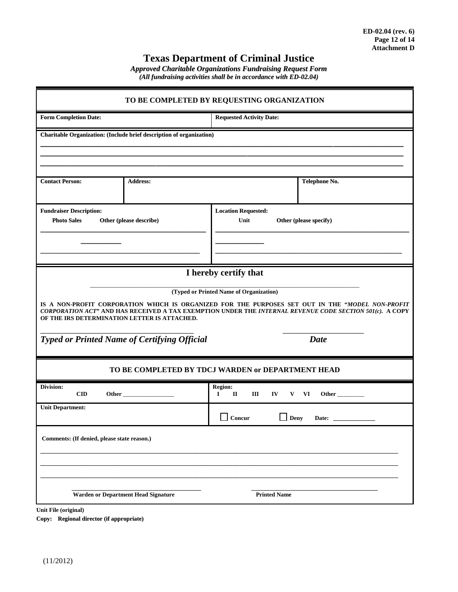## **Texas Department of Criminal Justice**

*Approved Charitable Organizations Fundraising Request Form (All fundraising activities shall be in accordance with ED-02.04)*

| TO BE COMPLETED BY REQUESTING ORGANIZATION                                                                                                                                                                                                                                                                                                                                                             |                                                                       |  |  |  |  |
|--------------------------------------------------------------------------------------------------------------------------------------------------------------------------------------------------------------------------------------------------------------------------------------------------------------------------------------------------------------------------------------------------------|-----------------------------------------------------------------------|--|--|--|--|
| <b>Form Completion Date:</b>                                                                                                                                                                                                                                                                                                                                                                           | <b>Requested Activity Date:</b>                                       |  |  |  |  |
| <b>Charitable Organization: (Include brief description of organization)</b>                                                                                                                                                                                                                                                                                                                            |                                                                       |  |  |  |  |
| <b>Contact Person:</b><br><b>Address:</b>                                                                                                                                                                                                                                                                                                                                                              | Telephone No.                                                         |  |  |  |  |
| <b>Fundraiser Description:</b><br><b>Photo Sales</b><br>Other (please describe)                                                                                                                                                                                                                                                                                                                        | <b>Location Requested:</b><br>Unit<br>Other (please specify)          |  |  |  |  |
|                                                                                                                                                                                                                                                                                                                                                                                                        |                                                                       |  |  |  |  |
| I hereby certify that<br>(Typed or Printed Name of Organization)<br>IS A NON-PROFIT CORPORATION WHICH IS ORGANIZED FOR THE PURPOSES SET OUT IN THE "MODEL NON-PROFIT<br>CORPORATION ACT" AND HAS RECEIVED A TAX EXEMPTION UNDER THE INTERNAL REVENUE CODE SECTION 501(c). A COPY<br>OF THE IRS DETERMINATION LETTER IS ATTACHED.<br><b>Typed or Printed Name of Certifying Official</b><br><b>Date</b> |                                                                       |  |  |  |  |
|                                                                                                                                                                                                                                                                                                                                                                                                        | TO BE COMPLETED BY TDCJ WARDEN or DEPARTMENT HEAD                     |  |  |  |  |
| Division:<br>CD<br>Other                                                                                                                                                                                                                                                                                                                                                                               | <b>Region:</b><br>П<br>Ш<br>$\bf{I}$<br>IV<br>V<br>VI<br>Other $\_\_$ |  |  |  |  |
| <b>Unit Department:</b>                                                                                                                                                                                                                                                                                                                                                                                | Concur<br>Deny<br>Date:                                               |  |  |  |  |
| Comments: (If denied, please state reason.)                                                                                                                                                                                                                                                                                                                                                            |                                                                       |  |  |  |  |
| <b>Warden or Department Head Signature</b><br><b>Printed Name</b>                                                                                                                                                                                                                                                                                                                                      |                                                                       |  |  |  |  |

**Unit File (original)** 

**Copy: Regional director (if appropriate)**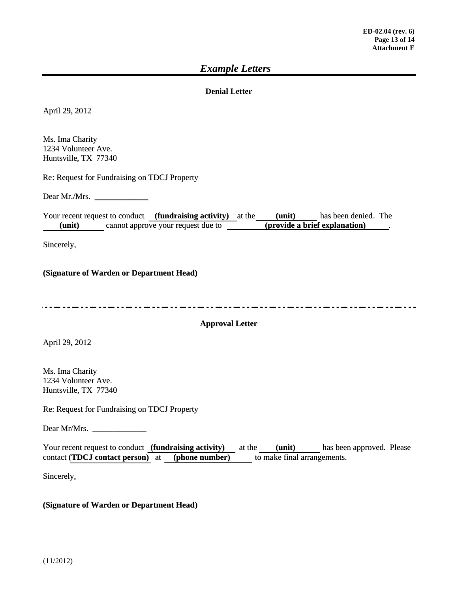### *Example Letters*

### **Denial Letter**

April 29, 2012

Ms. Ima Charity 1234 Volunteer Ave. Huntsville, TX 77340

Re: Request for Fundraising on TDCJ Property

Dear Mr./Mrs. **\_\_\_\_\_\_\_\_\_\_\_\_\_**

Your recent request to conduct **(fundraising activity)** at the **(unit)** has been denied. The **(unit)** cannot approve your request due to **(provide a brief explanation)** .

Sincerely,

**(Signature of Warden or Department Head)**

#### **Approval Letter**

April 29, 2012

Ms. Ima Charity 1234 Volunteer Ave. Huntsville, TX 77340

Re: Request for Fundraising on TDCJ Property

Dear Mr/Mrs. **\_\_\_\_\_\_\_\_\_\_\_\_\_**

Your recent request to conduct **(fundraising activity)** at the **(unit)** has been approved. Please contact (**TDCJ contact person)** at **(phone number)** to make final arrangements.

Sincerely,

#### **(Signature of Warden or Department Head)**